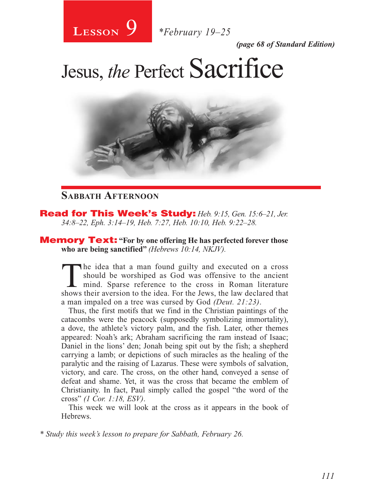

*(page 68 of Standard Edition)*

# Jesus, *the* Perfect Sacrifice



### **Sabbath Afternoon**

Read for This Week's Study: *Heb. 9:15, Gen. 15:6–21, Jer. 34:8–22, Eph. 3:14–19, Heb. 7:27, Heb. 10:10, Heb. 9:22–28.*

Memory Text: **"For by one offering He has perfected forever those who are being sanctified"** *(Hebrews 10:14, NKJV).*

The idea that a man found guilty and executed on a cross<br>should be worshiped as God was offensive to the ancient<br>mind. Sparse reference to the cross in Roman literature<br>shows their aversion to the idea. For the laws the la should be worshiped as God was offensive to the ancient shows their aversion to the idea. For the Jews, the law declared that a man impaled on a tree was cursed by God *(Deut. 21:23)*.

Thus, the first motifs that we find in the Christian paintings of the catacombs were the peacock (supposedly symbolizing immortality), a dove, the athlete's victory palm, and the fish. Later, other themes appeared: Noah's ark; Abraham sacrificing the ram instead of Isaac; Daniel in the lions' den; Jonah being spit out by the fish; a shepherd carrying a lamb; or depictions of such miracles as the healing of the paralytic and the raising of Lazarus. These were symbols of salvation, victory, and care. The cross, on the other hand, conveyed a sense of defeat and shame. Yet, it was the cross that became the emblem of Christianity. In fact, Paul simply called the gospel "the word of the cross" *(1 Cor. 1:18, ESV)*.

This week we will look at the cross as it appears in the book of Hebrews.

*\* Study this week's lesson to prepare for Sabbath, February 26.*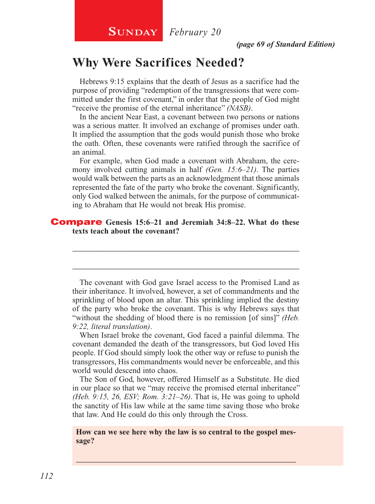# **Why Were Sacrifices Needed?**

Hebrews 9:15 explains that the death of Jesus as a sacrifice had the purpose of providing "redemption of the transgressions that were committed under the first covenant," in order that the people of God might "receive the promise of the eternal inheritance" *(NASB)*.

In the ancient Near East, a covenant between two persons or nations was a serious matter. It involved an exchange of promises under oath. It implied the assumption that the gods would punish those who broke the oath. Often, these covenants were ratified through the sacrifice of an animal.

For example, when God made a covenant with Abraham, the ceremony involved cutting animals in half *(Gen. 15:6–21)*. The parties would walk between the parts as an acknowledgment that those animals represented the fate of the party who broke the covenant. Significantly, only God walked between the animals, for the purpose of communicating to Abraham that He would not break His promise.

#### Compare **Genesis 15:6–21 and Jeremiah 34:8–22. What do these texts teach about the covenant?**

The covenant with God gave Israel access to the Promised Land as their inheritance. It involved, however, a set of commandments and the sprinkling of blood upon an altar. This sprinkling implied the destiny of the party who broke the covenant. This is why Hebrews says that "without the shedding of blood there is no remission [of sins]" *(Heb. 9:22, literal translation)*.

\_\_\_\_\_\_\_\_\_\_\_\_\_\_\_\_\_\_\_\_\_\_\_\_\_\_\_\_\_\_\_\_\_\_\_\_\_\_\_\_\_\_\_\_\_\_\_\_\_\_\_\_

\_\_\_\_\_\_\_\_\_\_\_\_\_\_\_\_\_\_\_\_\_\_\_\_\_\_\_\_\_\_\_\_\_\_\_\_\_\_\_\_\_\_\_\_\_\_\_\_\_\_\_\_

When Israel broke the covenant, God faced a painful dilemma. The covenant demanded the death of the transgressors, but God loved His people. If God should simply look the other way or refuse to punish the transgressors, His commandments would never be enforceable, and this world would descend into chaos.

The Son of God, however, offered Himself as a Substitute. He died in our place so that we "may receive the promised eternal inheritance" *(Heb. 9:15, 26, ESV; Rom. 3:21–26)*. That is, He was going to uphold the sanctity of His law while at the same time saving those who broke that law. And He could do this only through the Cross.

**How can we see here why the law is so central to the gospel message?**

\_\_\_\_\_\_\_\_\_\_\_\_\_\_\_\_\_\_\_\_\_\_\_\_\_\_\_\_\_\_\_\_\_\_\_\_\_\_\_\_\_\_\_\_\_\_\_\_\_\_\_\_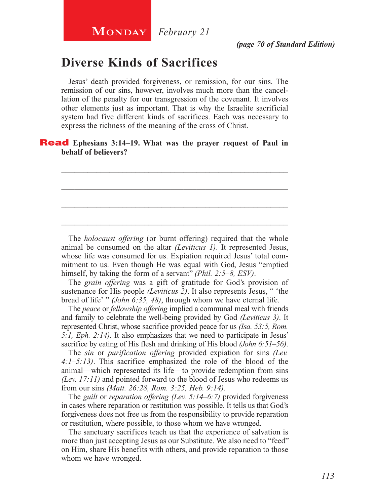# **Diverse Kinds of Sacrifices**

Jesus' death provided forgiveness, or remission, for our sins. The remission of our sins, however, involves much more than the cancellation of the penalty for our transgression of the covenant. It involves other elements just as important. That is why the Israelite sacrificial system had five different kinds of sacrifices. Each was necessary to express the richness of the meaning of the cross of Christ.

\_\_\_\_\_\_\_\_\_\_\_\_\_\_\_\_\_\_\_\_\_\_\_\_\_\_\_\_\_\_\_\_\_\_\_\_\_\_\_\_\_\_\_\_\_\_\_\_\_\_\_\_

\_\_\_\_\_\_\_\_\_\_\_\_\_\_\_\_\_\_\_\_\_\_\_\_\_\_\_\_\_\_\_\_\_\_\_\_\_\_\_\_\_\_\_\_\_\_\_\_\_\_\_\_

\_\_\_\_\_\_\_\_\_\_\_\_\_\_\_\_\_\_\_\_\_\_\_\_\_\_\_\_\_\_\_\_\_\_\_\_\_\_\_\_\_\_\_\_\_\_\_\_\_\_\_\_

\_\_\_\_\_\_\_\_\_\_\_\_\_\_\_\_\_\_\_\_\_\_\_\_\_\_\_\_\_\_\_\_\_\_\_\_\_\_\_\_\_\_\_\_\_\_\_\_\_\_\_\_

#### **Read** Ephesians 3:14–19. What was the prayer request of Paul in **behalf of believers?**

The *holocaust offering* (or burnt offering) required that the whole animal be consumed on the altar *(Leviticus 1)*. It represented Jesus, whose life was consumed for us. Expiation required Jesus' total commitment to us. Even though He was equal with God, Jesus "emptied himself, by taking the form of a servant" *(Phil. 2:5–8, ESV)*.

The *grain offering* was a gift of gratitude for God's provision of sustenance for His people *(Leviticus 2)*. It also represents Jesus, " 'the bread of life' " *(John 6:35, 48)*, through whom we have eternal life.

The *peace* or *fellowship offering* implied a communal meal with friends and family to celebrate the well-being provided by God *(Leviticus 3)*. It represented Christ, whose sacrifice provided peace for us *(Isa. 53:5, Rom. 5:1, Eph. 2:14)*. It also emphasizes that we need to participate in Jesus' sacrifice by eating of His flesh and drinking of His blood *(John 6:51–56)*.

The *sin* or *purification offering* provided expiation for sins *(Lev. 4:1–5:13)*. This sacrifice emphasized the role of the blood of the animal—which represented its life—to provide redemption from sins *(Lev. 17:11)* and pointed forward to the blood of Jesus who redeems us from our sins *(Matt. 26:28, Rom. 3:25, Heb. 9:14)*.

The *guilt* or *reparation offering (Lev. 5:14–6:7)* provided forgiveness in cases where reparation or restitution was possible. It tells us that God's forgiveness does not free us from the responsibility to provide reparation or restitution, where possible, to those whom we have wronged.

The sanctuary sacrifices teach us that the experience of salvation is more than just accepting Jesus as our Substitute. We also need to "feed" on Him, share His benefits with others, and provide reparation to those whom we have wronged.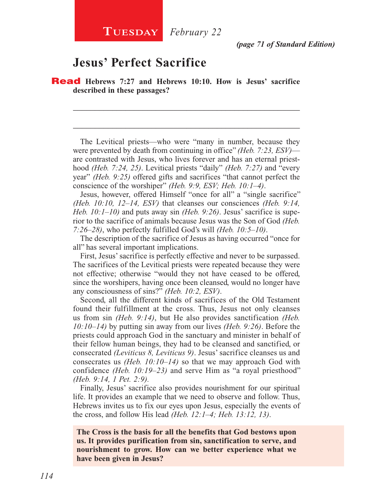*(page 71 of Standard Edition)*

# **Jesus' Perfect Sacrifice**

Read **Hebrews 7:27 and Hebrews 10:10. How is Jesus' sacrifice described in these passages?**

The Levitical priests—who were "many in number, because they were prevented by death from continuing in office" *(Heb. 7:23, ESV)* are contrasted with Jesus, who lives forever and has an eternal priesthood *(Heb. 7:24, 25)*. Levitical priests "daily" *(Heb. 7:27)* and "every year" *(Heb. 9:25)* offered gifts and sacrifices "that cannot perfect the conscience of the worshiper" *(Heb. 9:9, ESV; Heb. 10:1–4)*.

\_\_\_\_\_\_\_\_\_\_\_\_\_\_\_\_\_\_\_\_\_\_\_\_\_\_\_\_\_\_\_\_\_\_\_\_\_\_\_\_\_\_\_\_\_\_\_\_\_\_\_\_

\_\_\_\_\_\_\_\_\_\_\_\_\_\_\_\_\_\_\_\_\_\_\_\_\_\_\_\_\_\_\_\_\_\_\_\_\_\_\_\_\_\_\_\_\_\_\_\_\_\_\_\_

Jesus, however, offered Himself "once for all" a "single sacrifice" *(Heb. 10:10, 12–14, ESV)* that cleanses our consciences *(Heb. 9:14, Heb. 10:1–10)* and puts away sin *(Heb. 9:26)*. Jesus' sacrifice is superior to the sacrifice of animals because Jesus was the Son of God *(Heb. 7:26–28)*, who perfectly fulfilled God's will *(Heb. 10:5–10)*.

The description of the sacrifice of Jesus as having occurred "once for all" has several important implications.

First, Jesus' sacrifice is perfectly effective and never to be surpassed. The sacrifices of the Levitical priests were repeated because they were not effective; otherwise "would they not have ceased to be offered, since the worshipers, having once been cleansed, would no longer have any consciousness of sins?" *(Heb. 10:2, ESV)*.

Second, all the different kinds of sacrifices of the Old Testament found their fulfillment at the cross. Thus, Jesus not only cleanses us from sin *(Heb. 9:14)*, but He also provides sanctification *(Heb. 10:10–14)* by putting sin away from our lives *(Heb. 9:26)*. Before the priests could approach God in the sanctuary and minister in behalf of their fellow human beings, they had to be cleansed and sanctified, or consecrated *(Leviticus 8, Leviticus 9)*. Jesus' sacrifice cleanses us and consecrates us *(Heb. 10:10–14)* so that we may approach God with confidence *(Heb. 10:19–23)* and serve Him as "a royal priesthood" *(Heb. 9:14, 1 Pet. 2:9).*

Finally, Jesus' sacrifice also provides nourishment for our spiritual life. It provides an example that we need to observe and follow. Thus, Hebrews invites us to fix our eyes upon Jesus, especially the events of the cross, and follow His lead *(Heb. 12:1–4; Heb. 13:12, 13)*.

**The Cross is the basis for all the benefits that God bestows upon us. It provides purification from sin, sanctification to serve, and nourishment to grow. How can we better experience what we have been given in Jesus?**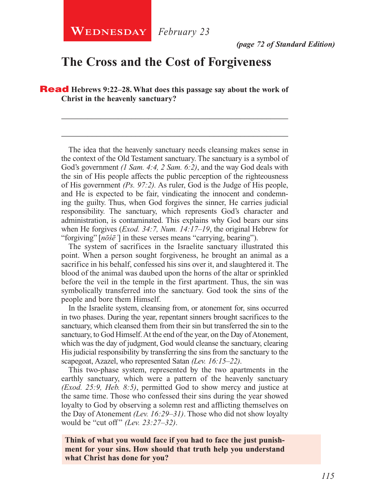**WEDNESDAY** February 23

# **The Cross and the Cost of Forgiveness**

Read **Hebrews 9:22–28. What does this passage say about the work of Christ in the heavenly sanctuary?**

\_\_\_\_\_\_\_\_\_\_\_\_\_\_\_\_\_\_\_\_\_\_\_\_\_\_\_\_\_\_\_\_\_\_\_\_\_\_\_\_\_\_\_\_\_\_\_\_\_\_\_\_

\_\_\_\_\_\_\_\_\_\_\_\_\_\_\_\_\_\_\_\_\_\_\_\_\_\_\_\_\_\_\_\_\_\_\_\_\_\_\_\_\_\_\_\_\_\_\_\_\_\_\_\_

The idea that the heavenly sanctuary needs cleansing makes sense in the context of the Old Testament sanctuary. The sanctuary is a symbol of God's government *(1 Sam. 4:4, 2 Sam. 6:2)*, and the way God deals with the sin of His people affects the public perception of the righteousness of His government *(Ps. 97:2).* As ruler, God is the Judge of His people, and He is expected to be fair, vindicating the innocent and condemning the guilty. Thus, when God forgives the sinner, He carries judicial responsibility. The sanctuary, which represents God's character and administration, is contaminated. This explains why God bears our sins when He forgives (*Exod. 34:7, Num. 14:17–19*, the original Hebrew for "forgiving" [*nōśēʾ*] in these verses means "carrying, bearing").

The system of sacrifices in the Israelite sanctuary illustrated this point. When a person sought forgiveness, he brought an animal as a sacrifice in his behalf, confessed his sins over it, and slaughtered it. The blood of the animal was daubed upon the horns of the altar or sprinkled before the veil in the temple in the first apartment. Thus, the sin was symbolically transferred into the sanctuary. God took the sins of the people and bore them Himself.

In the Israelite system, cleansing from, or atonement for, sins occurred in two phases. During the year, repentant sinners brought sacrifices to the sanctuary, which cleansed them from their sin but transferred the sin to the sanctuary, to God Himself. At the end of the year, on the Day of Atonement, which was the day of judgment, God would cleanse the sanctuary, clearing His judicial responsibility by transferring the sins from the sanctuary to the scapegoat, Azazel, who represented Satan *(Lev. 16:15–22)*.

This two-phase system, represented by the two apartments in the earthly sanctuary, which were a pattern of the heavenly sanctuary *(Exod. 25:9, Heb. 8:5)*, permitted God to show mercy and justice at the same time. Those who confessed their sins during the year showed loyalty to God by observing a solemn rest and afflicting themselves on the Day of Atonement *(Lev. 16:29–31)*. Those who did not show loyalty would be "cut off" *(Lev. 23:27–32)*.

**Think of what you would face if you had to face the just punishment for your sins. How should that truth help you understand what Christ has done for you?**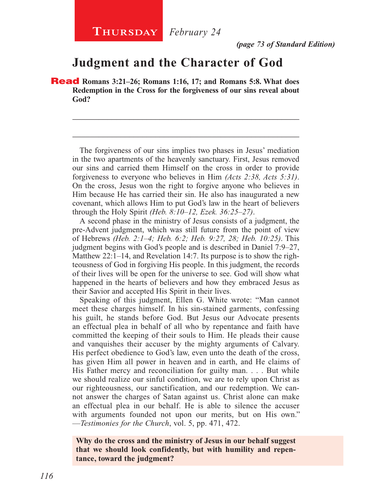*(page 73 of Standard Edition)*

# **Judgment and the Character of God**

Read **Romans 3:21–26; Romans 1:16, 17; and Romans 5:8. What does Redemption in the Cross for the forgiveness of our sins reveal about God?**

The forgiveness of our sins implies two phases in Jesus' mediation in the two apartments of the heavenly sanctuary. First, Jesus removed our sins and carried them Himself on the cross in order to provide forgiveness to everyone who believes in Him *(Acts 2:38, Acts 5:31)*. On the cross, Jesus won the right to forgive anyone who believes in Him because He has carried their sin. He also has inaugurated a new covenant, which allows Him to put God's law in the heart of believers through the Holy Spirit *(Heb. 8:10–12, Ezek. 36:25–27)*.

\_\_\_\_\_\_\_\_\_\_\_\_\_\_\_\_\_\_\_\_\_\_\_\_\_\_\_\_\_\_\_\_\_\_\_\_\_\_\_\_\_\_\_\_\_\_\_\_\_\_\_\_

\_\_\_\_\_\_\_\_\_\_\_\_\_\_\_\_\_\_\_\_\_\_\_\_\_\_\_\_\_\_\_\_\_\_\_\_\_\_\_\_\_\_\_\_\_\_\_\_\_\_\_\_

A second phase in the ministry of Jesus consists of a judgment, the pre-Advent judgment, which was still future from the point of view of Hebrews *(Heb. 2:1–4; Heb. 6:2; Heb. 9:27, 28; Heb. 10:25)*. This judgment begins with God's people and is described in Daniel 7:9–27, Matthew 22:1–14, and Revelation 14:7. Its purpose is to show the righteousness of God in forgiving His people. In this judgment, the records of their lives will be open for the universe to see. God will show what happened in the hearts of believers and how they embraced Jesus as their Savior and accepted His Spirit in their lives.

Speaking of this judgment, Ellen G. White wrote: "Man cannot meet these charges himself. In his sin-stained garments, confessing his guilt, he stands before God. But Jesus our Advocate presents an effectual plea in behalf of all who by repentance and faith have committed the keeping of their souls to Him. He pleads their cause and vanquishes their accuser by the mighty arguments of Calvary. His perfect obedience to God's law, even unto the death of the cross, has given Him all power in heaven and in earth, and He claims of His Father mercy and reconciliation for guilty man. . . . But while we should realize our sinful condition, we are to rely upon Christ as our righteousness, our sanctification, and our redemption. We cannot answer the charges of Satan against us. Christ alone can make an effectual plea in our behalf. He is able to silence the accuser with arguments founded not upon our merits, but on His own." —*Testimonies for the Church*, vol. 5, pp. 471, 472.

#### **Why do the cross and the ministry of Jesus in our behalf suggest that we should look confidently, but with humility and repentance, toward the judgment?**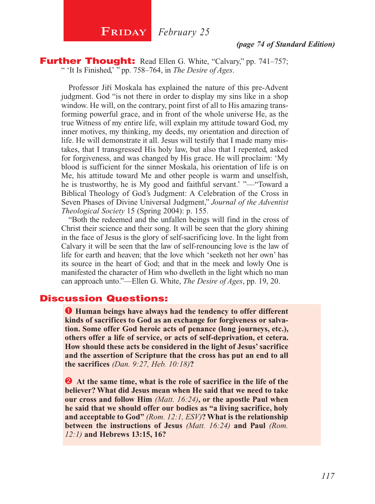**FRIDAY** *February* 25

#### *(page 74 of Standard Edition)*

**Further Thought:** Read Ellen G. White, "Calvary," pp. 741–757; " 'It Is Finished,' " pp. 758–764, in *The Desire of Ages*.

Professor Jiří Moskala has explained the nature of this pre-Advent judgment. God "is not there in order to display my sins like in a shop window. He will, on the contrary, point first of all to His amazing transforming powerful grace, and in front of the whole universe He, as the true Witness of my entire life, will explain my attitude toward God, my inner motives, my thinking, my deeds, my orientation and direction of life. He will demonstrate it all. Jesus will testify that I made many mistakes, that I transgressed His holy law, but also that I repented, asked for forgiveness, and was changed by His grace. He will proclaim: 'My blood is sufficient for the sinner Moskala, his orientation of life is on Me, his attitude toward Me and other people is warm and unselfish, he is trustworthy, he is My good and faithful servant.' "—"Toward a Biblical Theology of God's Judgment: A Celebration of the Cross in Seven Phases of Divine Universal Judgment," *Journal of the Adventist Theological Society* 15 (Spring 2004): p. 155.

"Both the redeemed and the unfallen beings will find in the cross of Christ their science and their song. It will be seen that the glory shining in the face of Jesus is the glory of self-sacrificing love. In the light from Calvary it will be seen that the law of self-renouncing love is the law of life for earth and heaven; that the love which 'seeketh not her own' has its source in the heart of God; and that in the meek and lowly One is manifested the character of Him who dwelleth in the light which no man can approach unto."—Ellen G. White, *The Desire of Ages*, pp. 19, 20.

#### Discussion Questions:

 $\bullet$  **Human beings have always had the tendency to offer different kinds of sacrifices to God as an exchange for forgiveness or salvation. Some offer God heroic acts of penance (long journeys, etc.), others offer a life of service, or acts of self-deprivation, et cetera. How should these acts be considered in the light of Jesus' sacrifice and the assertion of Scripture that the cross has put an end to all the sacrifices** *(Dan. 9:27, Heb. 10:18)***?**

**2** At the same time, what is the role of sacrifice in the life of the **believer? What did Jesus mean when He said that we need to take our cross and follow Him** *(Matt. 16:24)***, or the apostle Paul when he said that we should offer our bodies as "a living sacrifice, holy and acceptable to God"** *(Rom. 12:1, ESV)***? What is the relationship between the instructions of Jesus** *(Matt. 16:24)* **and Paul** *(Rom. 12:1)* **and Hebrews 13:15, 16?**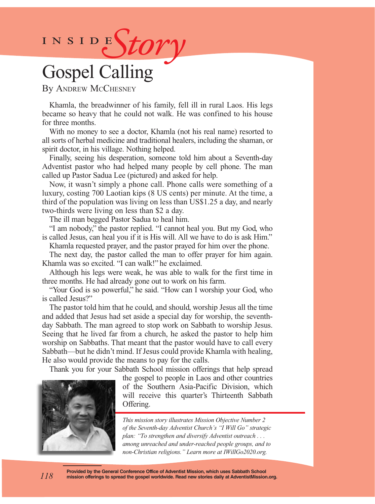# INSIDEStory

# Gospel Calling

By Andrew McChesney

Khamla, the breadwinner of his family, fell ill in rural Laos. His legs became so heavy that he could not walk. He was confined to his house for three months.

With no money to see a doctor, Khamla (not his real name) resorted to all sorts of herbal medicine and traditional healers, including the shaman, or spirit doctor, in his village. Nothing helped.

Finally, seeing his desperation, someone told him about a Seventh-day Adventist pastor who had helped many people by cell phone. The man called up Pastor Sadua Lee (pictured) and asked for help.

Now, it wasn't simply a phone call. Phone calls were something of a luxury, costing 700 Laotian kips (8 US cents) per minute. At the time, a third of the population was living on less than US\$1.25 a day, and nearly two-thirds were living on less than \$2 a day.

The ill man begged Pastor Sadua to heal him.

"I am nobody," the pastor replied. "I cannot heal you. But my God, who is called Jesus, can heal you if it is His will. All we have to do is ask Him."

Khamla requested prayer, and the pastor prayed for him over the phone.

The next day, the pastor called the man to offer prayer for him again. Khamla was so excited. "I can walk!" he exclaimed.

Although his legs were weak, he was able to walk for the first time in three months. He had already gone out to work on his farm.

"Your God is so powerful," he said. "How can I worship your God, who is called Jesus?"

The pastor told him that he could, and should, worship Jesus all the time and added that Jesus had set aside a special day for worship, the seventhday Sabbath. The man agreed to stop work on Sabbath to worship Jesus. Seeing that he lived far from a church, he asked the pastor to help him worship on Sabbaths. That meant that the pastor would have to call every Sabbath—but he didn't mind. If Jesus could provide Khamla with healing, He also would provide the means to pay for the calls.

Thank you for your Sabbath School mission offerings that help spread

the gospel to people in Laos and other countries of the Southern Asia-Pacific Division, which will receive this quarter's Thirteenth Sabbath Offering.

*This mission story illustrates Mission Objective Number 2 of the Seventh-day Adventist Church's "I Will Go" strategic plan: "To strengthen and diversify Adventist outreach . . . among unreached and under-reached people groups, and to non-Christian religions." Learn more at IWillGo2020.org.* 

**Provided by the General Conference Office of Adventist Mission, which uses Sabbath School mission offerings to spread the gospel worldwide. Read new stories daily at AdventistMission.org.** *118*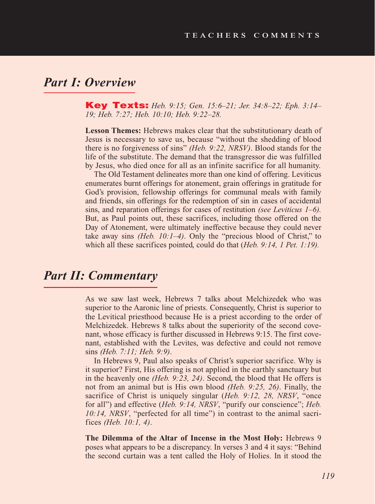# *Part I: Overview*

Key Texts: *Heb. 9:15; Gen. 15:6–21; Jer. 34:8–22; Eph. 3:14– 19; Heb. 7:27; Heb. 10:10; Heb. 9:22–28.*

**Lesson Themes:** Hebrews makes clear that the substitutionary death of Jesus is necessary to save us, because "without the shedding of blood there is no forgiveness of sins" *(Heb. 9:22, NRSV)*. Blood stands for the life of the substitute. The demand that the transgressor die was fulfilled by Jesus, who died once for all as an infinite sacrifice for all humanity.

The Old Testament delineates more than one kind of offering. Leviticus enumerates burnt offerings for atonement, grain offerings in gratitude for God's provision, fellowship offerings for communal meals with family and friends, sin offerings for the redemption of sin in cases of accidental sins, and reparation offerings for cases of restitution *(see Leviticus 1–6).*  But, as Paul points out, these sacrifices, including those offered on the Day of Atonement, were ultimately ineffective because they could never take away sins *(Heb. 10:1–4)*. Only the "precious blood of Christ," to which all these sacrifices pointed, could do that (*Heb. 9:14, 1 Pet. 1:19).*

# *Part II: Commentary*

As we saw last week, Hebrews 7 talks about Melchizedek who was superior to the Aaronic line of priests. Consequently, Christ is superior to the Levitical priesthood because He is a priest according to the order of Melchizedek. Hebrews 8 talks about the superiority of the second covenant, whose efficacy is further discussed in Hebrews 9:15. The first covenant, established with the Levites, was defective and could not remove sins *(Heb. 7:11; Heb. 9:9)*.

In Hebrews 9, Paul also speaks of Christ's superior sacrifice. Why is it superior? First, His offering is not applied in the earthly sanctuary but in the heavenly one *(Heb. 9:23, 24)*. Second, the blood that He offers is not from an animal but is His own blood *(Heb. 9:25, 26)*. Finally, the sacrifice of Christ is uniquely singular (*Heb. 9:12, 28, NRSV*, "once for all") and effective (*Heb. 9:14, NRSV*, "purify our conscience"; *Heb. 10:14, NRSV*, "perfected for all time") in contrast to the animal sacrifices *(Heb. 10:1, 4)*.

**The Dilemma of the Altar of Incense in the Most Holy:** Hebrews 9 poses what appears to be a discrepancy. In verses 3 and 4 it says: "Behind the second curtain was a tent called the Holy of Holies. In it stood the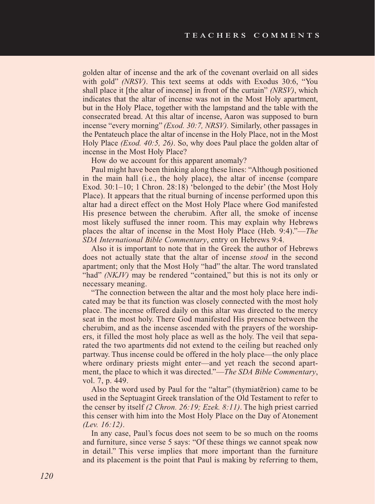golden altar of incense and the ark of the covenant overlaid on all sides with gold" *(NRSV)*. This text seems at odds with Exodus 30:6, "You shall place it [the altar of incense] in front of the curtain" *(NRSV)*, which indicates that the altar of incense was not in the Most Holy apartment, but in the Holy Place, together with the lampstand and the table with the consecrated bread. At this altar of incense, Aaron was supposed to burn incense "every morning" *(Exod. 30:7, NRSV).* Similarly, other passages in the Pentateuch place the altar of incense in the Holy Place, not in the Most Holy Place *(Exod. 40:5, 26)*. So, why does Paul place the golden altar of incense in the Most Holy Place?

How do we account for this apparent anomaly?

Paul might have been thinking along these lines: "Although positioned in the main hall (i.e., the holy place), the altar of incense (compare Exod. 30:1–10; 1 Chron. 28:18) 'belonged to the debir' (the Most Holy Place). It appears that the ritual burning of incense performed upon this altar had a direct effect on the Most Holy Place where God manifested His presence between the cherubim. After all, the smoke of incense most likely suffused the inner room. This may explain why Hebrews places the altar of incense in the Most Holy Place (Heb. 9:4)."—*The SDA International Bible Commentary*, entry on Hebrews 9:4.

Also it is important to note that in the Greek the author of Hebrews does not actually state that the altar of incense *stood* in the second apartment; only that the Most Holy "had" the altar. The word translated "had" *(NKJV)* may be rendered "contained," but this is not its only or necessary meaning.

"The connection between the altar and the most holy place here indicated may be that its function was closely connected with the most holy place. The incense offered daily on this altar was directed to the mercy seat in the most holy. There God manifested His presence between the cherubim, and as the incense ascended with the prayers of the worshipers, it filled the most holy place as well as the holy. The veil that separated the two apartments did not extend to the ceiling but reached only partway. Thus incense could be offered in the holy place—the only place where ordinary priests might enter—and yet reach the second apartment, the place to which it was directed."—*The SDA Bible Commentary*, vol. 7, p. 449.

Also the word used by Paul for the "altar" (thymiatērion) came to be used in the Septuagint Greek translation of the Old Testament to refer to the censer by itself *(2 Chron. 26:19; Ezek. 8:11)*. The high priest carried this censer with him into the Most Holy Place on the Day of Atonement *(Lev. 16:12)*.

In any case, Paul's focus does not seem to be so much on the rooms and furniture, since verse 5 says: "Of these things we cannot speak now in detail." This verse implies that more important than the furniture and its placement is the point that Paul is making by referring to them,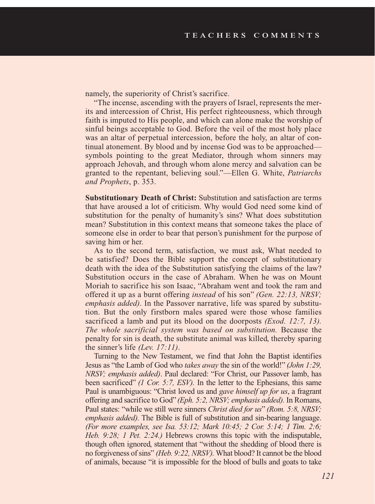namely, the superiority of Christ's sacrifice.

"The incense, ascending with the prayers of Israel, represents the merits and intercession of Christ, His perfect righteousness, which through faith is imputed to His people, and which can alone make the worship of sinful beings acceptable to God. Before the veil of the most holy place was an altar of perpetual intercession, before the holy, an altar of continual atonement. By blood and by incense God was to be approached symbols pointing to the great Mediator, through whom sinners may approach Jehovah, and through whom alone mercy and salvation can be granted to the repentant, believing soul."—Ellen G. White, *Patriarchs and Prophets*, p. 353.

**Substitutionary Death of Christ:** Substitution and satisfaction are terms that have aroused a lot of criticism. Why would God need some kind of substitution for the penalty of humanity's sins? What does substitution mean? Substitution in this context means that someone takes the place of someone else in order to bear that person's punishment for the purpose of saving him or her.

As to the second term, satisfaction, we must ask, What needed to be satisfied? Does the Bible support the concept of substitutionary death with the idea of the Substitution satisfying the claims of the law? Substitution occurs in the case of Abraham. When he was on Mount Moriah to sacrifice his son Isaac, "Abraham went and took the ram and offered it up as a burnt offering *instead* of his son" *(Gen. 22:13, NRSV; emphasis added)*. In the Passover narrative, life was spared by substitution. But the only firstborn males spared were those whose families sacrificed a lamb and put its blood on the doorposts *(Exod. 12:7, 13). The whole sacrificial system was based on substitution.* Because the penalty for sin is death, the substitute animal was killed, thereby sparing the sinner's life *(Lev. 17:11)*.

Turning to the New Testament, we find that John the Baptist identifies Jesus as "the Lamb of God who *takes away* the sin of the world!" *(John 1:29, NRSV; emphasis added)*. Paul declared: "For Christ, our Passover lamb, has been sacrificed" *(1 Cor. 5:7, ESV).* In the letter to the Ephesians, this same Paul is unambiguous: "Christ loved us and *gave himself up for us*, a fragrant offering and sacrifice to God" *(Eph. 5:2, NRSV; emphasis added).* In Romans, Paul states: "while we still were sinners *Christ died for us*" *(Rom. 5:8, NRSV; emphasis added).* The Bible is full of substitution and sin-bearing language. *(For more examples, see Isa. 53:12; Mark 10:45; 2 Cor. 5:14; 1 Tim. 2:6; Heb. 9:28; 1 Pet. 2:24.)* Hebrews crowns this topic with the indisputable, though often ignored, statement that "without the shedding of blood there is no forgiveness of sins" *(Heb. 9:22, NRSV).* What blood? It cannot be the blood of animals, because "it is impossible for the blood of bulls and goats to take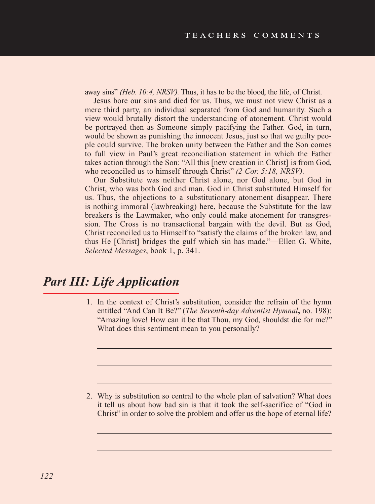away sins" *(Heb. 10:4, NRSV).* Thus, it has to be the blood, the life, of Christ.

Jesus bore our sins and died for us. Thus, we must not view Christ as a mere third party, an individual separated from God and humanity. Such a view would brutally distort the understanding of atonement. Christ would be portrayed then as Someone simply pacifying the Father. God, in turn, would be shown as punishing the innocent Jesus, just so that we guilty people could survive. The broken unity between the Father and the Son comes to full view in Paul's great reconciliation statement in which the Father takes action through the Son: "All this [new creation in Christ] is from God, who reconciled us to himself through Christ" *(2 Cor. 5:18, NRSV).*

Our Substitute was neither Christ alone, nor God alone, but God in Christ, who was both God and man. God in Christ substituted Himself for us. Thus, the objections to a substitutionary atonement disappear. There is nothing immoral (lawbreaking) here, because the Substitute for the law breakers is the Lawmaker, who only could make atonement for transgression. The Cross is no transactional bargain with the devil. But as God, Christ reconciled us to Himself to "satisfy the claims of the broken law, and thus He [Christ] bridges the gulf which sin has made."—Ellen G. White, *Selected Messages*, book 1, p. 341.

# *Part III: Life Application*

1. In the context of Christ's substitution, consider the refrain of the hymn entitled "And Can It Be?" (*The Seventh-day Adventist Hymnal***,** no. 198): "Amazing love! How can it be that Thou, my God, shouldst die for me?" What does this sentiment mean to you personally?

2. Why is substitution so central to the whole plan of salvation? What does it tell us about how bad sin is that it took the self-sacrifice of "God in Christ" in order to solve the problem and offer us the hope of eternal life?